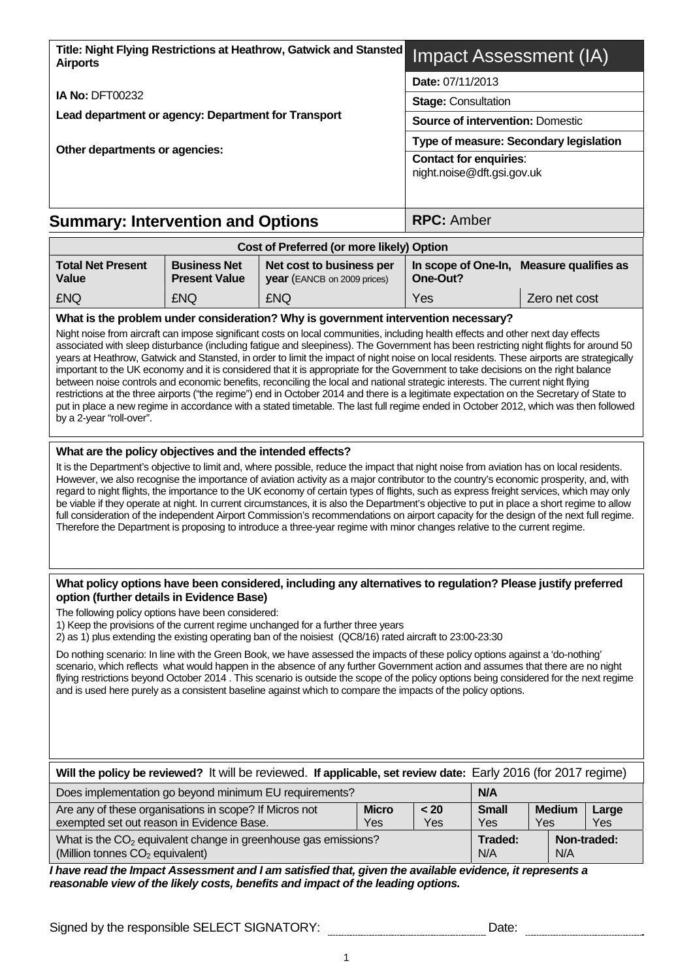| Title: Night Flying Restrictions at Heathrow, Gatwick and Stansted<br><b>Airports</b>                                                                                                                                                                                                                                                                                                                                                                                                                                                                                                                                                             |                                             | Impact Assessment (IA)                                      |                                         |                                          |  |
|---------------------------------------------------------------------------------------------------------------------------------------------------------------------------------------------------------------------------------------------------------------------------------------------------------------------------------------------------------------------------------------------------------------------------------------------------------------------------------------------------------------------------------------------------------------------------------------------------------------------------------------------------|---------------------------------------------|-------------------------------------------------------------|-----------------------------------------|------------------------------------------|--|
|                                                                                                                                                                                                                                                                                                                                                                                                                                                                                                                                                                                                                                                   |                                             | Date: 07/11/2013                                            |                                         |                                          |  |
| <b>IA No: DFT00232</b>                                                                                                                                                                                                                                                                                                                                                                                                                                                                                                                                                                                                                            |                                             | <b>Stage: Consultation</b>                                  |                                         |                                          |  |
| Lead department or agency: Department for Transport                                                                                                                                                                                                                                                                                                                                                                                                                                                                                                                                                                                               |                                             |                                                             | <b>Source of intervention: Domestic</b> |                                          |  |
|                                                                                                                                                                                                                                                                                                                                                                                                                                                                                                                                                                                                                                                   |                                             | Type of measure: Secondary legislation                      |                                         |                                          |  |
| Other departments or agencies:                                                                                                                                                                                                                                                                                                                                                                                                                                                                                                                                                                                                                    |                                             | <b>Contact for enquiries:</b><br>night.noise@dft.gsi.gov.uk |                                         |                                          |  |
| <b>Summary: Intervention and Options</b>                                                                                                                                                                                                                                                                                                                                                                                                                                                                                                                                                                                                          |                                             |                                                             | <b>RPC: Amber</b>                       |                                          |  |
|                                                                                                                                                                                                                                                                                                                                                                                                                                                                                                                                                                                                                                                   |                                             | Cost of Preferred (or more likely) Option                   |                                         |                                          |  |
| <b>Total Net Present</b><br>Value                                                                                                                                                                                                                                                                                                                                                                                                                                                                                                                                                                                                                 | <b>Business Net</b><br><b>Present Value</b> | Net cost to business per<br>year (EANCB on 2009 prices)     | One-Out?                                | In scope of One-In, Measure qualifies as |  |
| <b>£NQ</b>                                                                                                                                                                                                                                                                                                                                                                                                                                                                                                                                                                                                                                        | <b>£NQ</b>                                  | <b>£NQ</b>                                                  | <b>Yes</b>                              | Zero net cost                            |  |
| What is the problem under consideration? Why is government intervention necessary?<br>Night noise from aircraft can impose significant costs on local communities, including health effects and other next day effects<br>associated with sleep disturbance (including fatigue and sleepiness). The Government has been restricting night flights for around 50<br>years at Heathrow, Gatwick and Stansted, in order to limit the impact of night noise on local residents. These airports are strategically<br>important to the UK economy and it is considered that it is appropriate for the Government to take decisions on the right balance |                                             |                                                             |                                         |                                          |  |

between noise controls and economic benefits, reconciling the local and national strategic interests. The current night flying restrictions at the three airports ("the regime") end in October 2014 and there is a legitimate expectation on the Secretary of State to put in place a new regime in accordance with a stated timetable. The last full regime ended in October 2012, which was then followed by a 2-year "roll-over".

## **What are the policy objectives and the intended effects?**

It is the Department's objective to limit and, where possible, reduce the impact that night noise from aviation has on local residents. However, we also recognise the importance of aviation activity as a major contributor to the country's economic prosperity, and, with regard to night flights, the importance to the UK economy of certain types of flights, such as express freight services, which may only be viable if they operate at night. In current circumstances, it is also the Department's objective to put in place a short regime to allow full consideration of the independent Airport Commission's recommendations on airport capacity for the design of the next full regime. Therefore the Department is proposing to introduce a three-year regime with minor changes relative to the current regime.

#### **What policy options have been considered, including any alternatives to regulation? Please justify preferred option (further details in Evidence Base)**

The following policy options have been considered:

1) Keep the provisions of the current regime unchanged for a further three years

2) as 1) plus extending the existing operating ban of the noisiest (QC8/16) rated aircraft to 23:00-23:30

Do nothing scenario: In line with the Green Book, we have assessed the impacts of these policy options against a 'do-nothing' scenario, which reflects what would happen in the absence of any further Government action and assumes that there are no night flying restrictions beyond October 2014 . This scenario is outside the scope of the policy options being considered for the next regime and is used here purely as a consistent baseline against which to compare the impacts of the policy options.

| Will the policy be reviewed? It will be reviewed. If applicable, set review date: Early 2016 (for 2017 regime)  |                |                     |                      |              |  |  |  |  |  |  |
|-----------------------------------------------------------------------------------------------------------------|----------------|---------------------|----------------------|--------------|--|--|--|--|--|--|
| Does implementation go beyond minimum EU requirements?<br><b>N/A</b>                                            |                |                     |                      |              |  |  |  |  |  |  |
| Are any of these organisations in scope? If Micros not<br>exempted set out reason in Evidence Base.             | < 20<br>Yes    | <b>Small</b><br>Yes | <b>Medium</b><br>Yes | Large<br>Yes |  |  |  |  |  |  |
| What is the $CO2$ equivalent change in greenhouse gas emissions?<br>(Million tonnes CO <sub>2</sub> equivalent) | Traded:<br>N/A | N/A                 | Non-traded:          |              |  |  |  |  |  |  |

*I have read the Impact Assessment and I am satisfied that, given the available evidence, it represents a reasonable view of the likely costs, benefits and impact of the leading options.*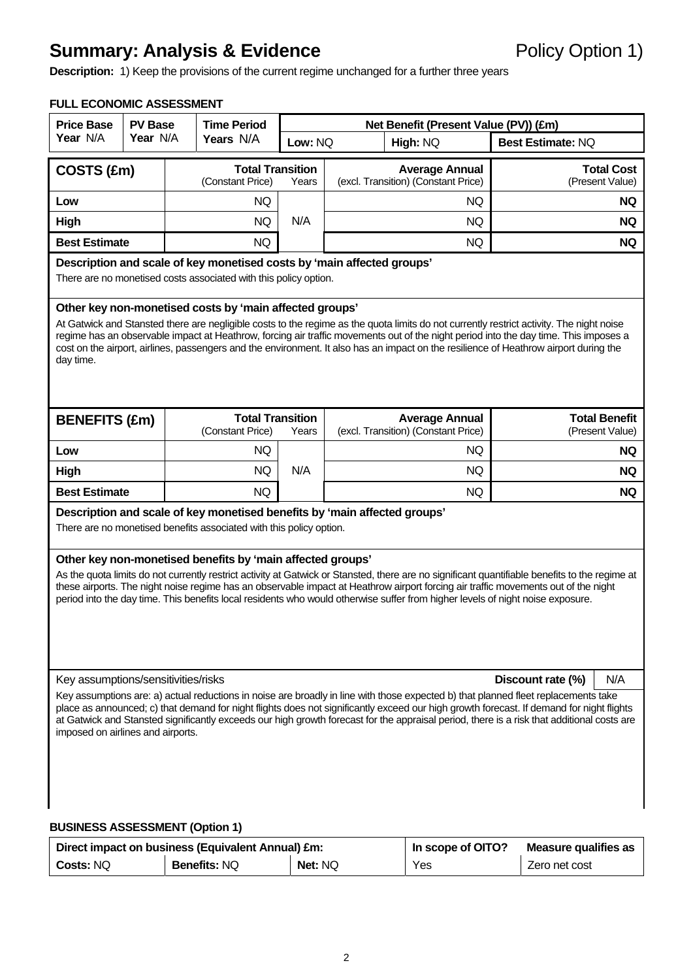## **Summary: Analysis & Evidence Policy Option 1)**

**Description:** 1) Keep the provisions of the current regime unchanged for a further three years

## **FULL ECONOMIC ASSESSMENT**

| <b>Price Base</b>                                                                                                                                                                                                                                                                                                                                                                                                                                                                                 | <b>PV Base</b>                                                                                                                             |           | <b>Time Period</b>                                                                                                                | Net Benefit (Present Value (PV)) (£m)                        |                                                                                                                                                                                                                                                                                                                                                                                                                              |                                      |                                         |  |  |  |  |
|---------------------------------------------------------------------------------------------------------------------------------------------------------------------------------------------------------------------------------------------------------------------------------------------------------------------------------------------------------------------------------------------------------------------------------------------------------------------------------------------------|--------------------------------------------------------------------------------------------------------------------------------------------|-----------|-----------------------------------------------------------------------------------------------------------------------------------|--------------------------------------------------------------|------------------------------------------------------------------------------------------------------------------------------------------------------------------------------------------------------------------------------------------------------------------------------------------------------------------------------------------------------------------------------------------------------------------------------|--------------------------------------|-----------------------------------------|--|--|--|--|
| Year N/A                                                                                                                                                                                                                                                                                                                                                                                                                                                                                          | Year N/A                                                                                                                                   | Years N/A |                                                                                                                                   | Low: NQ                                                      | High: NQ                                                                                                                                                                                                                                                                                                                                                                                                                     | <b>Best Estimate: NQ</b>             |                                         |  |  |  |  |
|                                                                                                                                                                                                                                                                                                                                                                                                                                                                                                   | <b>Total Transition</b><br>COSTS (£m)<br>(Constant Price)                                                                                  |           | Years                                                                                                                             | <b>Average Annual</b><br>(excl. Transition) (Constant Price) |                                                                                                                                                                                                                                                                                                                                                                                                                              | <b>Total Cost</b><br>(Present Value) |                                         |  |  |  |  |
| Low                                                                                                                                                                                                                                                                                                                                                                                                                                                                                               |                                                                                                                                            |           | NQ                                                                                                                                |                                                              | NQ.                                                                                                                                                                                                                                                                                                                                                                                                                          |                                      | <b>NQ</b>                               |  |  |  |  |
| High                                                                                                                                                                                                                                                                                                                                                                                                                                                                                              |                                                                                                                                            |           | <b>NQ</b>                                                                                                                         | N/A                                                          | NQ.                                                                                                                                                                                                                                                                                                                                                                                                                          |                                      | NQ.                                     |  |  |  |  |
| <b>Best Estimate</b>                                                                                                                                                                                                                                                                                                                                                                                                                                                                              |                                                                                                                                            |           | <b>NQ</b>                                                                                                                         |                                                              | NQ.                                                                                                                                                                                                                                                                                                                                                                                                                          |                                      | <b>NQ</b>                               |  |  |  |  |
|                                                                                                                                                                                                                                                                                                                                                                                                                                                                                                   | Description and scale of key monetised costs by 'main affected groups'<br>There are no monetised costs associated with this policy option. |           |                                                                                                                                   |                                                              |                                                                                                                                                                                                                                                                                                                                                                                                                              |                                      |                                         |  |  |  |  |
| Other key non-monetised costs by 'main affected groups'<br>At Gatwick and Stansted there are negligible costs to the regime as the quota limits do not currently restrict activity. The night noise<br>regime has an observable impact at Heathrow, forcing air traffic movements out of the night period into the day time. This imposes a<br>cost on the airport, airlines, passengers and the environment. It also has an impact on the resilience of Heathrow airport during the<br>day time. |                                                                                                                                            |           |                                                                                                                                   |                                                              |                                                                                                                                                                                                                                                                                                                                                                                                                              |                                      |                                         |  |  |  |  |
| <b>BENEFITS (£m)</b>                                                                                                                                                                                                                                                                                                                                                                                                                                                                              |                                                                                                                                            |           | <b>Total Transition</b><br>(Constant Price)                                                                                       | Years                                                        | <b>Average Annual</b><br>(excl. Transition) (Constant Price)                                                                                                                                                                                                                                                                                                                                                                 |                                      | <b>Total Benefit</b><br>(Present Value) |  |  |  |  |
| Low                                                                                                                                                                                                                                                                                                                                                                                                                                                                                               |                                                                                                                                            |           | NQ                                                                                                                                |                                                              | NQ.                                                                                                                                                                                                                                                                                                                                                                                                                          |                                      | <b>NQ</b>                               |  |  |  |  |
| High                                                                                                                                                                                                                                                                                                                                                                                                                                                                                              |                                                                                                                                            |           | NQ                                                                                                                                | N/A                                                          | NQ.                                                                                                                                                                                                                                                                                                                                                                                                                          |                                      | NQ.                                     |  |  |  |  |
| <b>Best Estimate</b>                                                                                                                                                                                                                                                                                                                                                                                                                                                                              |                                                                                                                                            |           | NQ.                                                                                                                               |                                                              | <b>NQ</b>                                                                                                                                                                                                                                                                                                                                                                                                                    |                                      | NQ.                                     |  |  |  |  |
|                                                                                                                                                                                                                                                                                                                                                                                                                                                                                                   |                                                                                                                                            |           | There are no monetised benefits associated with this policy option.<br>Other key non-monetised benefits by 'main affected groups' |                                                              | Description and scale of key monetised benefits by 'main affected groups'<br>As the quota limits do not currently restrict activity at Gatwick or Stansted, there are no significant quantifiable benefits to the regime at                                                                                                                                                                                                  |                                      |                                         |  |  |  |  |
| these airports. The night noise regime has an observable impact at Heathrow airport forcing air traffic movements out of the night<br>period into the day time. This benefits local residents who would otherwise suffer from higher levels of night noise exposure.                                                                                                                                                                                                                              |                                                                                                                                            |           |                                                                                                                                   |                                                              |                                                                                                                                                                                                                                                                                                                                                                                                                              |                                      |                                         |  |  |  |  |
| Key assumptions/sensitivities/risks                                                                                                                                                                                                                                                                                                                                                                                                                                                               |                                                                                                                                            |           |                                                                                                                                   |                                                              |                                                                                                                                                                                                                                                                                                                                                                                                                              | Discount rate (%)                    | N/A                                     |  |  |  |  |
| imposed on airlines and airports.                                                                                                                                                                                                                                                                                                                                                                                                                                                                 |                                                                                                                                            |           |                                                                                                                                   |                                                              | Key assumptions are: a) actual reductions in noise are broadly in line with those expected b) that planned fleet replacements take<br>place as announced; c) that demand for night flights does not significantly exceed our high growth forecast. If demand for night flights<br>at Gatwick and Stansted significantly exceeds our high growth forecast for the appraisal period, there is a risk that additional costs are |                                      |                                         |  |  |  |  |

## **BUSINESS ASSESSMENT (Option 1)**

| Direct impact on business (Equivalent Annual) £m: |                     |                | In scope of OITO? | Measure qualifies as |
|---------------------------------------------------|---------------------|----------------|-------------------|----------------------|
| <b>Costs: NQ</b>                                  | <b>Benefits: NQ</b> | <b>Net: NQ</b> | Yes               | Zero net cost        |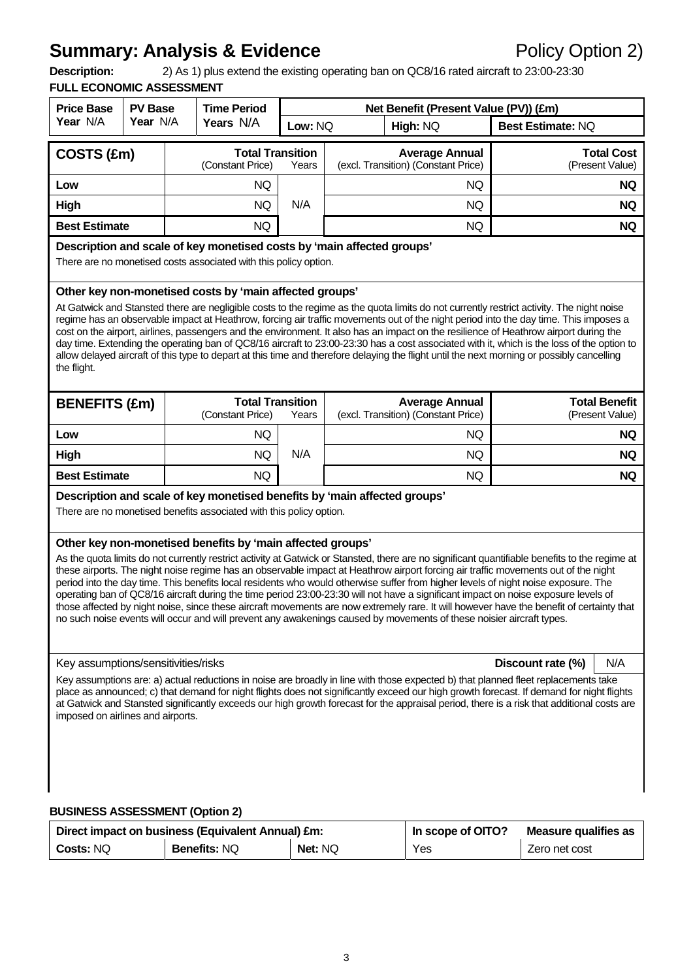# **Summary: Analysis & Evidence Policy Option 2)**

**Description:** 2) As 1) plus extend the existing operating ban on QC8/16 rated aircraft to 23:00-23:30

## **FULL ECONOMIC ASSESSMENT**

| <b>Price Base</b>                                                                                                                                                                                                                                                                                                                                                                                                                                                                                                                                                                                                                                                                                                                                                                                                                                                                                                                                                                                                                                                                                           | <b>PV Base</b> | <b>Time Period</b>                                                  |                                  | Net Benefit (Present Value (PV)) (£m)                                                                                                                                                                                                                                                  |                                         |  |  |  |  |
|-------------------------------------------------------------------------------------------------------------------------------------------------------------------------------------------------------------------------------------------------------------------------------------------------------------------------------------------------------------------------------------------------------------------------------------------------------------------------------------------------------------------------------------------------------------------------------------------------------------------------------------------------------------------------------------------------------------------------------------------------------------------------------------------------------------------------------------------------------------------------------------------------------------------------------------------------------------------------------------------------------------------------------------------------------------------------------------------------------------|----------------|---------------------------------------------------------------------|----------------------------------|----------------------------------------------------------------------------------------------------------------------------------------------------------------------------------------------------------------------------------------------------------------------------------------|-----------------------------------------|--|--|--|--|
| Year N/A                                                                                                                                                                                                                                                                                                                                                                                                                                                                                                                                                                                                                                                                                                                                                                                                                                                                                                                                                                                                                                                                                                    | Year N/A       | Years N/A                                                           | Low: NQ                          | High: NQ                                                                                                                                                                                                                                                                               | Best Estimate: NQ                       |  |  |  |  |
| COSTS (£m)                                                                                                                                                                                                                                                                                                                                                                                                                                                                                                                                                                                                                                                                                                                                                                                                                                                                                                                                                                                                                                                                                                  |                | (Constant Price)                                                    | <b>Total Transition</b><br>Years | <b>Average Annual</b><br>(excl. Transition) (Constant Price)                                                                                                                                                                                                                           | <b>Total Cost</b><br>(Present Value)    |  |  |  |  |
| Low                                                                                                                                                                                                                                                                                                                                                                                                                                                                                                                                                                                                                                                                                                                                                                                                                                                                                                                                                                                                                                                                                                         |                | NQ                                                                  |                                  | NQ.                                                                                                                                                                                                                                                                                    | <b>NQ</b>                               |  |  |  |  |
| <b>High</b>                                                                                                                                                                                                                                                                                                                                                                                                                                                                                                                                                                                                                                                                                                                                                                                                                                                                                                                                                                                                                                                                                                 |                | NQ.                                                                 | N/A                              | NQ.                                                                                                                                                                                                                                                                                    | NQ.                                     |  |  |  |  |
| <b>Best Estimate</b>                                                                                                                                                                                                                                                                                                                                                                                                                                                                                                                                                                                                                                                                                                                                                                                                                                                                                                                                                                                                                                                                                        |                | NQ.                                                                 |                                  | <b>NQ</b>                                                                                                                                                                                                                                                                              | <b>NQ</b>                               |  |  |  |  |
| Description and scale of key monetised costs by 'main affected groups'<br>There are no monetised costs associated with this policy option.                                                                                                                                                                                                                                                                                                                                                                                                                                                                                                                                                                                                                                                                                                                                                                                                                                                                                                                                                                  |                |                                                                     |                                  |                                                                                                                                                                                                                                                                                        |                                         |  |  |  |  |
| Other key non-monetised costs by 'main affected groups'<br>At Gatwick and Stansted there are negligible costs to the regime as the quota limits do not currently restrict activity. The night noise<br>regime has an observable impact at Heathrow, forcing air traffic movements out of the night period into the day time. This imposes a<br>cost on the airport, airlines, passengers and the environment. It also has an impact on the resilience of Heathrow airport during the<br>day time. Extending the operating ban of QC8/16 aircraft to 23:00-23:30 has a cost associated with it, which is the loss of the option to<br>allow delayed aircraft of this type to depart at this time and therefore delaying the flight until the next morning or possibly cancelling<br>the flight.                                                                                                                                                                                                                                                                                                              |                |                                                                     |                                  |                                                                                                                                                                                                                                                                                        |                                         |  |  |  |  |
| <b>BENEFITS (£m)</b>                                                                                                                                                                                                                                                                                                                                                                                                                                                                                                                                                                                                                                                                                                                                                                                                                                                                                                                                                                                                                                                                                        |                | (Constant Price)                                                    | <b>Total Transition</b><br>Years | <b>Average Annual</b><br>(excl. Transition) (Constant Price)                                                                                                                                                                                                                           | <b>Total Benefit</b><br>(Present Value) |  |  |  |  |
| Low                                                                                                                                                                                                                                                                                                                                                                                                                                                                                                                                                                                                                                                                                                                                                                                                                                                                                                                                                                                                                                                                                                         |                | NQ                                                                  |                                  | NQ.                                                                                                                                                                                                                                                                                    | NQ.                                     |  |  |  |  |
| High                                                                                                                                                                                                                                                                                                                                                                                                                                                                                                                                                                                                                                                                                                                                                                                                                                                                                                                                                                                                                                                                                                        |                | NQ.                                                                 | N/A                              | NQ.                                                                                                                                                                                                                                                                                    | <b>NQ</b>                               |  |  |  |  |
| <b>Best Estimate</b>                                                                                                                                                                                                                                                                                                                                                                                                                                                                                                                                                                                                                                                                                                                                                                                                                                                                                                                                                                                                                                                                                        |                | NQ.                                                                 |                                  | <b>NQ</b>                                                                                                                                                                                                                                                                              | <b>NQ</b>                               |  |  |  |  |
|                                                                                                                                                                                                                                                                                                                                                                                                                                                                                                                                                                                                                                                                                                                                                                                                                                                                                                                                                                                                                                                                                                             |                | There are no monetised benefits associated with this policy option. |                                  | Description and scale of key monetised benefits by 'main affected groups'                                                                                                                                                                                                              |                                         |  |  |  |  |
| Other key non-monetised benefits by 'main affected groups'<br>As the quota limits do not currently restrict activity at Gatwick or Stansted, there are no significant quantifiable benefits to the regime at<br>these airports. The night noise regime has an observable impact at Heathrow airport forcing air traffic movements out of the night<br>period into the day time. This benefits local residents who would otherwise suffer from higher levels of night noise exposure. The<br>operating ban of QC8/16 aircraft during the time period 23:00-23:30 will not have a significant impact on noise exposure levels of<br>those affected by night noise, since these aircraft movements are now extremely rare. It will however have the benefit of certainty that<br>no such noise events will occur and will prevent any awakenings caused by movements of these noisier aircraft types.<br>Key assumptions/sensitivities/risks<br>N/A<br>Discount rate (%)<br>Key assumptions are: a) actual reductions in noise are broadly in line with those expected b) that planned fleet replacements take |                |                                                                     |                                  |                                                                                                                                                                                                                                                                                        |                                         |  |  |  |  |
| imposed on airlines and airports.                                                                                                                                                                                                                                                                                                                                                                                                                                                                                                                                                                                                                                                                                                                                                                                                                                                                                                                                                                                                                                                                           |                | <b>BUSINESS ASSESSMENT (Option 2)</b>                               |                                  | place as announced; c) that demand for night flights does not significantly exceed our high growth forecast. If demand for night flights<br>at Gatwick and Stansted significantly exceeds our high growth forecast for the appraisal period, there is a risk that additional costs are |                                         |  |  |  |  |

|                  | Direct impact on business (Equivalent Annual) £m: | In scope of OITO? | Measure qualifies as |               |
|------------------|---------------------------------------------------|-------------------|----------------------|---------------|
| <b>Costs: NQ</b> | <b>Benefits: NQ</b>                               | <b>Net: NQ</b>    | Yes                  | Zero net cost |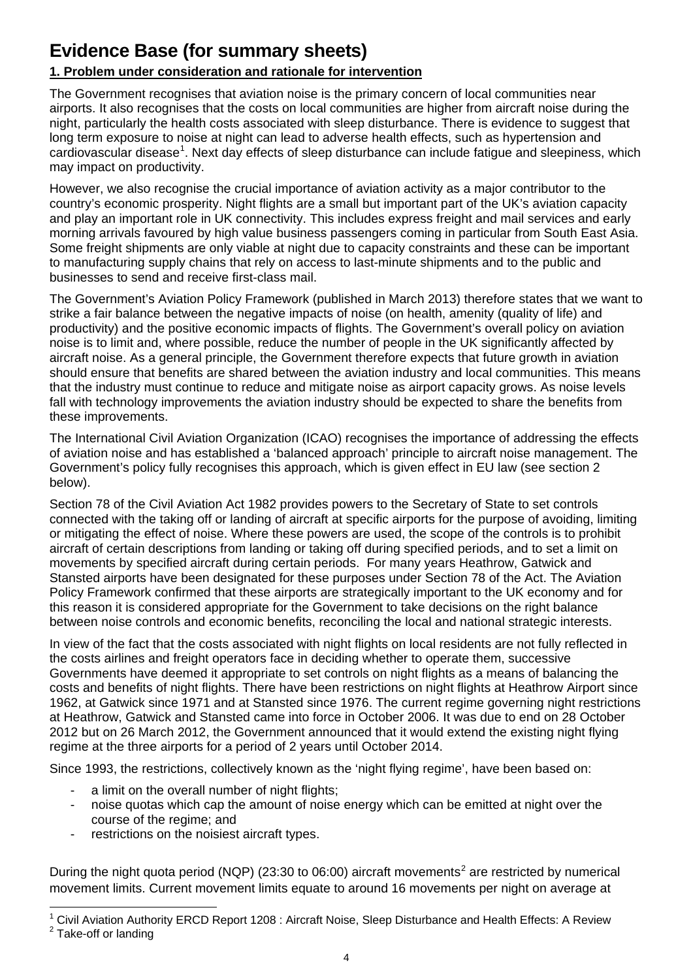## **Evidence Base (for summary sheets)**

## **1. Problem under consideration and rationale for intervention**

The Government recognises that aviation noise is the primary concern of local communities near airports. It also recognises that the costs on local communities are higher from aircraft noise during the night, particularly the health costs associated with sleep disturbance. There is evidence to suggest that long term exposure to noise at night can lead to adverse health effects, such as hypertension and cardiovascular disease<sup>[1](#page-3-0)</sup>. Next day effects of sleep disturbance can include fatigue and sleepiness, which may impact on productivity.

However, we also recognise the crucial importance of aviation activity as a major contributor to the country's economic prosperity. Night flights are a small but important part of the UK's aviation capacity and play an important role in UK connectivity. This includes express freight and mail services and early morning arrivals favoured by high value business passengers coming in particular from South East Asia. Some freight shipments are only viable at night due to capacity constraints and these can be important to manufacturing supply chains that rely on access to last-minute shipments and to the public and businesses to send and receive first-class mail.

The Government's Aviation Policy Framework (published in March 2013) therefore states that we want to strike a fair balance between the negative impacts of noise (on health, amenity (quality of life) and productivity) and the positive economic impacts of flights. The Government's overall policy on aviation noise is to limit and, where possible, reduce the number of people in the UK significantly affected by aircraft noise. As a general principle, the Government therefore expects that future growth in aviation should ensure that benefits are shared between the aviation industry and local communities. This means that the industry must continue to reduce and mitigate noise as airport capacity grows. As noise levels fall with technology improvements the aviation industry should be expected to share the benefits from these improvements.

The International Civil Aviation Organization (ICAO) recognises the importance of addressing the effects of aviation noise and has established a 'balanced approach' principle to aircraft noise management. The Government's policy fully recognises this approach, which is given effect in EU law (see section 2 below).

Section 78 of the Civil Aviation Act 1982 provides powers to the Secretary of State to set controls connected with the taking off or landing of aircraft at specific airports for the purpose of avoiding, limiting or mitigating the effect of noise. Where these powers are used, the scope of the controls is to prohibit aircraft of certain descriptions from landing or taking off during specified periods, and to set a limit on movements by specified aircraft during certain periods. For many years Heathrow, Gatwick and Stansted airports have been designated for these purposes under Section 78 of the Act. The Aviation Policy Framework confirmed that these airports are strategically important to the UK economy and for this reason it is considered appropriate for the Government to take decisions on the right balance between noise controls and economic benefits, reconciling the local and national strategic interests.

In view of the fact that the costs associated with night flights on local residents are not fully reflected in the costs airlines and freight operators face in deciding whether to operate them, successive Governments have deemed it appropriate to set controls on night flights as a means of balancing the costs and benefits of night flights. There have been restrictions on night flights at Heathrow Airport since 1962, at Gatwick since 1971 and at Stansted since 1976. The current regime governing night restrictions at Heathrow, Gatwick and Stansted came into force in October 2006. It was due to end on 28 October 2012 but on 26 March 2012, the Government announced that it would extend the existing night flying regime at the three airports for a period of 2 years until October 2014.

Since 1993, the restrictions, collectively known as the 'night flying regime', have been based on:

- a limit on the overall number of night flights;
- noise quotas which cap the amount of noise energy which can be emitted at night over the course of the regime; and
- restrictions on the noisiest aircraft types.

During the night quota period (NQP) ([2](#page-3-1)3:30 to 06:00) aircraft movements<sup>2</sup> are restricted by numerical movement limits. Current movement limits equate to around 16 movements per night on average at

<span id="page-3-1"></span><span id="page-3-0"></span>l  $^1$  Civil Aviation Authority ERCD Report 1208 : Aircraft Noise, Sleep Disturbance and Health Effects: A Review<br>2 Teke off er landing <sup>2</sup> Take-off or landing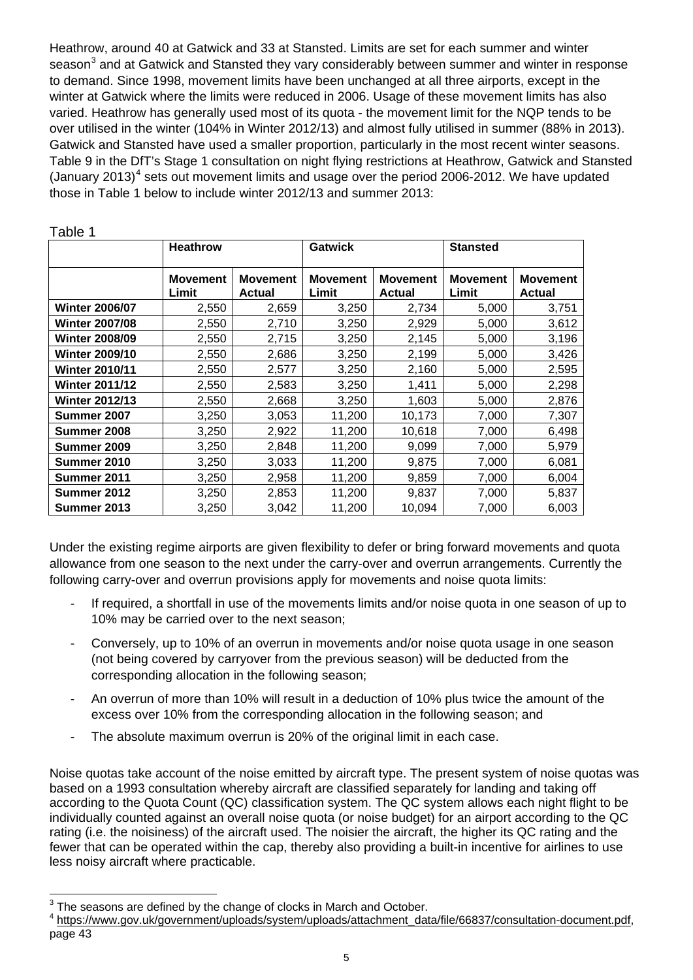Heathrow, around 40 at Gatwick and 33 at Stansted. Limits are set for each summer and winter season<sup>[3](#page-4-0)</sup> and at Gatwick and Stansted they vary considerably between summer and winter in response to demand. Since 1998, movement limits have been unchanged at all three airports, except in the winter at Gatwick where the limits were reduced in 2006. Usage of these movement limits has also varied. Heathrow has generally used most of its quota - the movement limit for the NQP tends to be over utilised in the winter (104% in Winter 2012/13) and almost fully utilised in summer (88% in 2013). Gatwick and Stansted have used a smaller proportion, particularly in the most recent winter seasons. Table 9 in the DfT's Stage 1 consultation on night flying restrictions at Heathrow, Gatwick and Stansted (January 2013)<sup>[4](#page-4-1)</sup> sets out movement limits and usage over the period 2006-2012. We have updated those in Table 1 below to include winter 2012/13 and summer 2013:

|                       | <b>Heathrow</b>          |                                  | <b>Gatwick</b>           |                                  | <b>Stansted</b>          |                                  |
|-----------------------|--------------------------|----------------------------------|--------------------------|----------------------------------|--------------------------|----------------------------------|
|                       | <b>Movement</b><br>Limit | <b>Movement</b><br><b>Actual</b> | <b>Movement</b><br>Limit | <b>Movement</b><br><b>Actual</b> | <b>Movement</b><br>Limit | <b>Movement</b><br><b>Actual</b> |
| <b>Winter 2006/07</b> | 2,550                    | 2,659                            | 3,250                    | 2,734                            | 5,000                    | 3,751                            |
| <b>Winter 2007/08</b> | 2,550                    | 2,710                            | 3,250                    | 2,929                            | 5,000                    | 3,612                            |
| <b>Winter 2008/09</b> | 2,550                    | 2,715                            | 3,250                    | 2,145                            | 5,000                    | 3,196                            |
| <b>Winter 2009/10</b> | 2,550                    | 2,686                            | 3,250                    | 2,199                            | 5,000                    | 3,426                            |
| <b>Winter 2010/11</b> | 2,550                    | 2,577                            | 3,250                    | 2,160                            | 5,000                    | 2,595                            |
| <b>Winter 2011/12</b> | 2,550                    | 2,583                            | 3,250                    | 1,411                            | 5,000                    | 2,298                            |
| <b>Winter 2012/13</b> | 2,550                    | 2,668                            | 3,250                    | 1,603                            | 5,000                    | 2,876                            |
| Summer 2007           | 3,250                    | 3,053                            | 11,200                   | 10,173                           | 7,000                    | 7,307                            |
| Summer 2008           | 3,250                    | 2,922                            | 11,200                   | 10,618                           | 7,000                    | 6,498                            |
| <b>Summer 2009</b>    | 3,250                    | 2,848                            | 11,200                   | 9,099                            | 7,000                    | 5,979                            |
| Summer 2010           | 3,250                    | 3,033                            | 11,200                   | 9,875                            | 7,000                    | 6,081                            |
| Summer 2011           | 3,250                    | 2,958                            | 11,200                   | 9,859                            | 7.000                    | 6,004                            |
| <b>Summer 2012</b>    | 3,250                    | 2,853                            | 11,200                   | 9,837                            | 7.000                    | 5,837                            |
| Summer 2013           | 3,250                    | 3,042                            | 11,200                   | 10,094                           | 7,000                    | 6,003                            |

Table 1

Under the existing regime airports are given flexibility to defer or bring forward movements and quota allowance from one season to the next under the carry-over and overrun arrangements. Currently the following carry-over and overrun provisions apply for movements and noise quota limits:

- If required, a shortfall in use of the movements limits and/or noise quota in one season of up to 10% may be carried over to the next season;
- Conversely, up to 10% of an overrun in movements and/or noise quota usage in one season (not being covered by carryover from the previous season) will be deducted from the corresponding allocation in the following season;
- An overrun of more than 10% will result in a deduction of 10% plus twice the amount of the excess over 10% from the corresponding allocation in the following season; and
- The absolute maximum overrun is 20% of the original limit in each case.

Noise quotas take account of the noise emitted by aircraft type. The present system of noise quotas was based on a 1993 consultation whereby aircraft are classified separately for landing and taking off according to the Quota Count (QC) classification system. The QC system allows each night flight to be individually counted against an overall noise quota (or noise budget) for an airport according to the QC rating (i.e. the noisiness) of the aircraft used. The noisier the aircraft, the higher its QC rating and the fewer that can be operated within the cap, thereby also providing a built-in incentive for airlines to use less noisy aircraft where practicable.

 3 The seasons are defined by the change of clocks in March and October.

<span id="page-4-1"></span><span id="page-4-0"></span><sup>&</sup>lt;sup>4</sup> https://www.gov.uk/government/uploads/system/uploads/attachment\_data/file/66837/consultation-document.pdf, page 43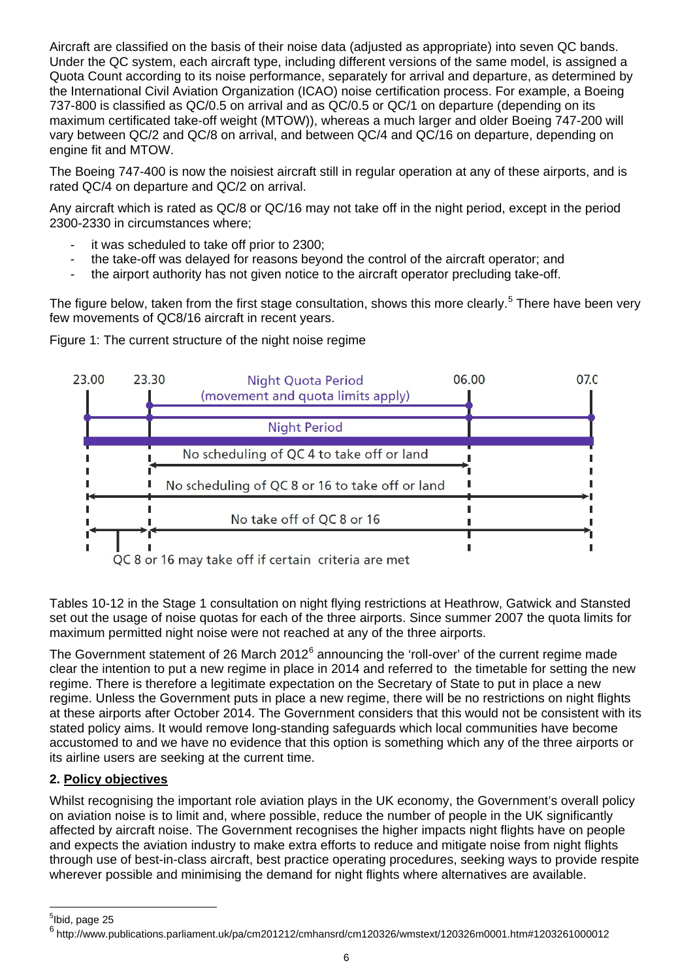Aircraft are classified on the basis of their noise data (adjusted as appropriate) into seven QC bands. Under the QC system, each aircraft type, including different versions of the same model, is assigned a Quota Count according to its noise performance, separately for arrival and departure, as determined by the International Civil Aviation Organization (ICAO) noise certification process. For example, a Boeing 737-800 is classified as QC/0.5 on arrival and as QC/0.5 or QC/1 on departure (depending on its maximum certificated take-off weight (MTOW)), whereas a much larger and older Boeing 747-200 will vary between QC/2 and QC/8 on arrival, and between QC/4 and QC/16 on departure, depending on engine fit and MTOW.

The Boeing 747-400 is now the noisiest aircraft still in regular operation at any of these airports, and is rated QC/4 on departure and QC/2 on arrival.

Any aircraft which is rated as QC/8 or QC/16 may not take off in the night period, except in the period 2300-2330 in circumstances where;

- it was scheduled to take off prior to 2300;
- the take-off was delayed for reasons beyond the control of the aircraft operator; and
- the airport authority has not given notice to the aircraft operator precluding take-off.

The figure below, taken from the first stage consultation, shows this more clearly.<sup>[5](#page-5-0)</sup> There have been very few movements of QC8/16 aircraft in recent years.

Figure 1: The current structure of the night noise regime



Tables 10-12 in the Stage 1 consultation on night flying restrictions at Heathrow, Gatwick and Stansted set out the usage of noise quotas for each of the three airports. Since summer 2007 the quota limits for maximum permitted night noise were not reached at any of the three airports.

The Government statement of 2[6](#page-5-1) March 2012 $^6$  announcing the 'roll-over' of the current regime made clear the intention to put a new regime in place in 2014 and referred to the timetable for setting the new regime. There is therefore a legitimate expectation on the Secretary of State to put in place a new regime. Unless the Government puts in place a new regime, there will be no restrictions on night flights at these airports after October 2014. The Government considers that this would not be consistent with its stated policy aims. It would remove long-standing safeguards which local communities have become accustomed to and we have no evidence that this option is something which any of the three airports or its airline users are seeking at the current time.

## **2. Policy objectives**

Whilst recognising the important role aviation plays in the UK economy, the Government's overall policy on aviation noise is to limit and, where possible, reduce the number of people in the UK significantly affected by aircraft noise. The Government recognises the higher impacts night flights have on people and expects the aviation industry to make extra efforts to reduce and mitigate noise from night flights through use of best-in-class aircraft, best practice operating procedures, seeking ways to provide respite wherever possible and minimising the demand for night flights where alternatives are available.

l

<span id="page-5-0"></span><sup>&</sup>lt;sup>5</sup>lbid, page 25

<span id="page-5-1"></span><sup>6</sup> http://www.publications.parliament.uk/pa/cm201212/cmhansrd/cm120326/wmstext/120326m0001.htm#1203261000012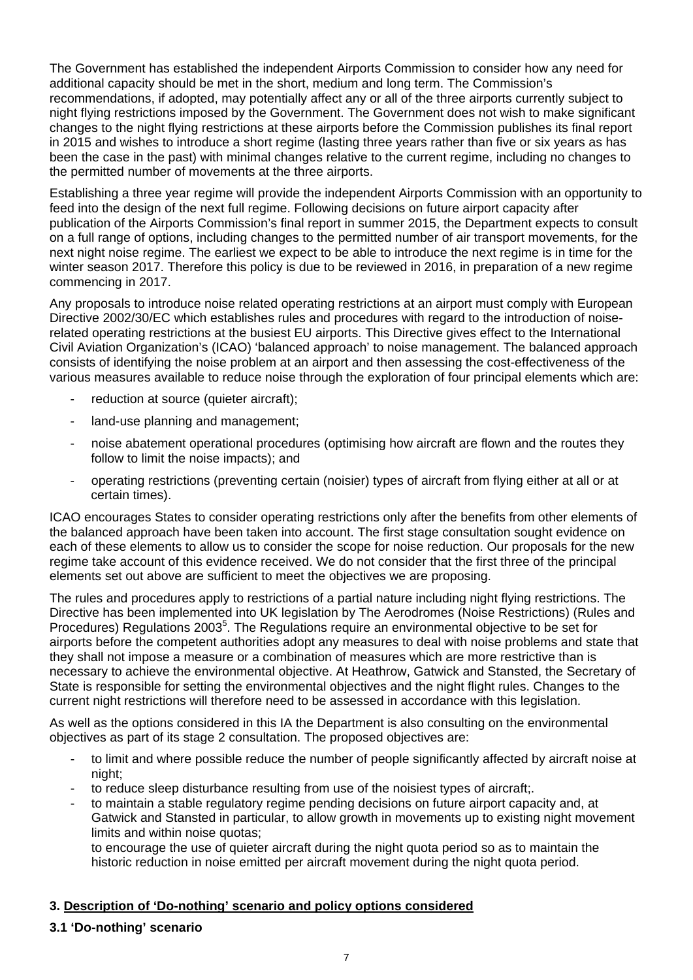The Government has established the independent Airports Commission to consider how any need for additional capacity should be met in the short, medium and long term. The Commission's recommendations, if adopted, may potentially affect any or all of the three airports currently subject to night flying restrictions imposed by the Government. The Government does not wish to make significant changes to the night flying restrictions at these airports before the Commission publishes its final report in 2015 and wishes to introduce a short regime (lasting three years rather than five or six years as has been the case in the past) with minimal changes relative to the current regime, including no changes to the permitted number of movements at the three airports.

Establishing a three year regime will provide the independent Airports Commission with an opportunity to feed into the design of the next full regime. Following decisions on future airport capacity after publication of the Airports Commission's final report in summer 2015, the Department expects to consult on a full range of options, including changes to the permitted number of air transport movements, for the next night noise regime. The earliest we expect to be able to introduce the next regime is in time for the winter season 2017. Therefore this policy is due to be reviewed in 2016, in preparation of a new regime commencing in 2017.

Any proposals to introduce noise related operating restrictions at an airport must comply with European Directive 2002/30/EC which establishes rules and procedures with regard to the introduction of noiserelated operating restrictions at the busiest EU airports. This Directive gives effect to the International Civil Aviation Organization's (ICAO) 'balanced approach' to noise management. The balanced approach consists of identifying the noise problem at an airport and then assessing the cost-effectiveness of the various measures available to reduce noise through the exploration of four principal elements which are:

- reduction at source (quieter aircraft);
- land-use planning and management;
- noise abatement operational procedures (optimising how aircraft are flown and the routes they follow to limit the noise impacts); and
- operating restrictions (preventing certain (noisier) types of aircraft from flying either at all or at certain times).

ICAO encourages States to consider operating restrictions only after the benefits from other elements of the balanced approach have been taken into account. The first stage consultation sought evidence on each of these elements to allow us to consider the scope for noise reduction. Our proposals for the new regime take account of this evidence received. We do not consider that the first three of the principal elements set out above are sufficient to meet the objectives we are proposing.

The rules and procedures apply to restrictions of a partial nature including night flying restrictions. The Directive has been implemented into UK legislation by The Aerodromes (Noise Restrictions) (Rules and Procedures) Regulations 2003<sup>5</sup>. The Regulations require an environmental objective to be set for airports before the competent authorities adopt any measures to deal with noise problems and state that they shall not impose a measure or a combination of measures which are more restrictive than is necessary to achieve the environmental objective. At Heathrow, Gatwick and Stansted, the Secretary of State is responsible for setting the environmental objectives and the night flight rules. Changes to the current night restrictions will therefore need to be assessed in accordance with this legislation.

As well as the options considered in this IA the Department is also consulting on the environmental objectives as part of its stage 2 consultation. The proposed objectives are:

- to limit and where possible reduce the number of people significantly affected by aircraft noise at night;
- to reduce sleep disturbance resulting from use of the noisiest types of aircraft;.
- to maintain a stable regulatory regime pending decisions on future airport capacity and, at Gatwick and Stansted in particular, to allow growth in movements up to existing night movement limits and within noise quotas;

to encourage the use of quieter aircraft during the night quota period so as to maintain the historic reduction in noise emitted per aircraft movement during the night quota period.

## **3. Description of 'Do-nothing' scenario and policy options considered**

## **3.1 'Do-nothing' scenario**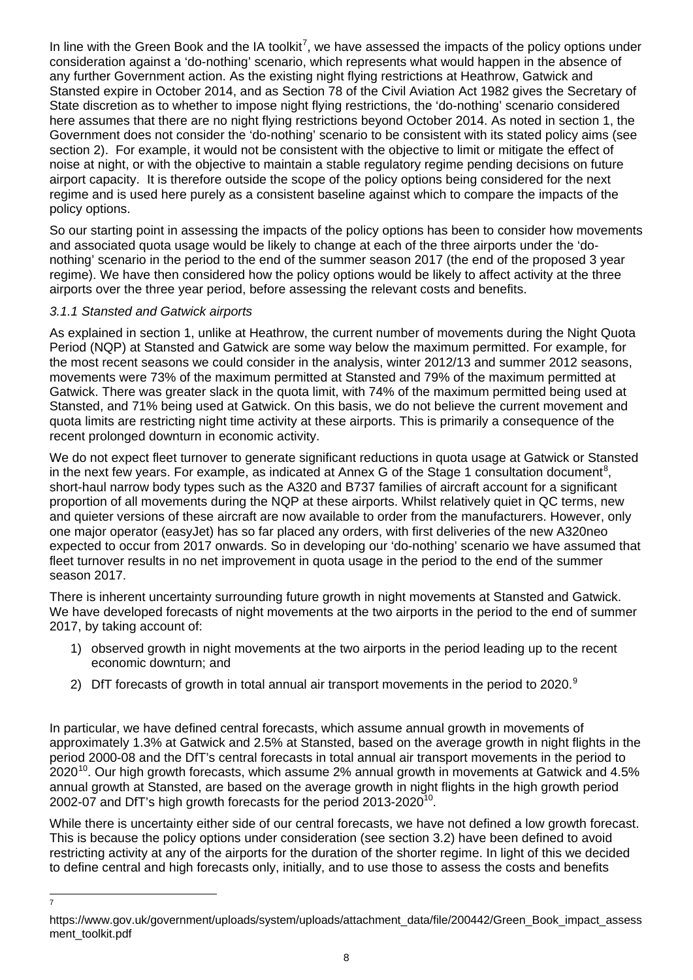In line with the Green Book and the IA toolkit<sup>[7](#page-7-0)</sup>, we have assessed the impacts of the policy options under consideration against a 'do-nothing' scenario, which represents what would happen in the absence of any further Government action. As the existing night flying restrictions at Heathrow, Gatwick and Stansted expire in October 2014, and as Section 78 of the Civil Aviation Act 1982 gives the Secretary of State discretion as to whether to impose night flying restrictions, the 'do-nothing' scenario considered here assumes that there are no night flying restrictions beyond October 2014. As noted in section 1, the Government does not consider the 'do-nothing' scenario to be consistent with its stated policy aims (see section 2). For example, it would not be consistent with the objective to limit or mitigate the effect of noise at night, or with the objective to maintain a stable regulatory regime pending decisions on future airport capacity. It is therefore outside the scope of the policy options being considered for the next regime and is used here purely as a consistent baseline against which to compare the impacts of the policy options.

So our starting point in assessing the impacts of the policy options has been to consider how movements and associated quota usage would be likely to change at each of the three airports under the 'donothing' scenario in the period to the end of the summer season 2017 (the end of the proposed 3 year regime). We have then considered how the policy options would be likely to affect activity at the three airports over the three year period, before assessing the relevant costs and benefits.

## *3.1.1 Stansted and Gatwick airports*

<span id="page-7-1"></span>-<br>7

As explained in section 1, unlike at Heathrow, the current number of movements during the Night Quota Period (NQP) at Stansted and Gatwick are some way below the maximum permitted. For example, for the most recent seasons we could consider in the analysis, winter 2012/13 and summer 2012 seasons, movements were 73% of the maximum permitted at Stansted and 79% of the maximum permitted at Gatwick. There was greater slack in the quota limit, with 74% of the maximum permitted being used at Stansted, and 71% being used at Gatwick. On this basis, we do not believe the current movement and quota limits are restricting night time activity at these airports. This is primarily a consequence of the recent prolonged downturn in economic activity.

We do not expect fleet turnover to generate significant reductions in quota usage at Gatwick or Stansted in the next few years. For example, as indicated at Annex G of the Stage 1 consultation document<sup>[8](#page-7-1)</sup>, short-haul narrow body types such as the A320 and B737 families of aircraft account for a significant proportion of all movements during the NQP at these airports. Whilst relatively quiet in QC terms, new and quieter versions of these aircraft are now available to order from the manufacturers. However, only one major operator (easyJet) has so far placed any orders, with first deliveries of the new A320neo expected to occur from 2017 onwards. So in developing our 'do-nothing' scenario we have assumed that fleet turnover results in no net improvement in quota usage in the period to the end of the summer season 2017.

There is inherent uncertainty surrounding future growth in night movements at Stansted and Gatwick. We have developed forecasts of night movements at the two airports in the period to the end of summer 2017, by taking account of:

- 1) observed growth in night movements at the two airports in the period leading up to the recent economic downturn; and
- 2) DfT forecasts of growth in total annual air transport movements in the period to 2020. $9$

In particular, we have defined central forecasts, which assume annual growth in movements of approximately 1.3% at Gatwick and 2.5% at Stansted, based on the average growth in night flights in the period 2000-08 and the DfT's central forecasts in total annual air transport movements in the period to  $2020^{10}$  $2020^{10}$  $2020^{10}$ . Our high growth forecasts, which assume 2% annual growth in movements at Gatwick and 4.5% annual growth at Stansted, are based on the average growth in night flights in the high growth period 2002-07 and DfT's high growth forecasts for the period  $2013$ - $2020^{10}$ .

While there is uncertainty either side of our central forecasts, we have not defined a low growth forecast. This is because the policy options under consideration (see section 3.2) have been defined to avoid restricting activity at any of the airports for the duration of the shorter regime. In light of this we decided to define central and high forecasts only, initially, and to use those to assess the costs and benefits

<span id="page-7-2"></span><span id="page-7-0"></span>https://www.gov.uk/government/uploads/system/uploads/attachment\_data/file/200442/Green\_Book\_impact\_assess ment\_toolkit.pdf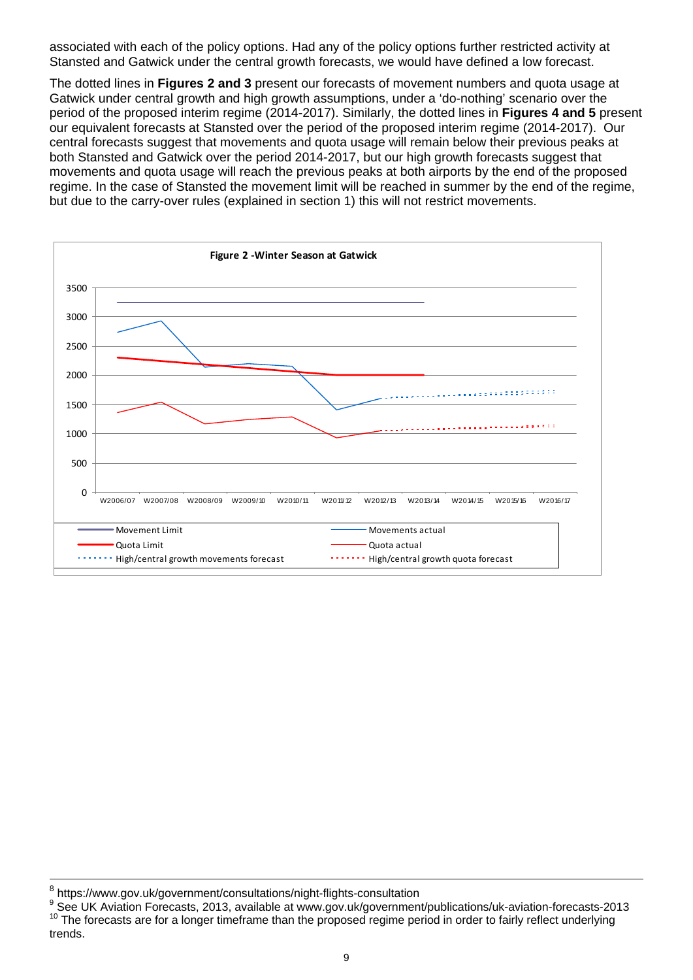associated with each of the policy options. Had any of the policy options further restricted activity at Stansted and Gatwick under the central growth forecasts, we would have defined a low forecast.

The dotted lines in **Figures 2 and 3** present our forecasts of movement numbers and quota usage at Gatwick under central growth and high growth assumptions, under a 'do-nothing' scenario over the period of the proposed interim regime (2014-2017). Similarly, the dotted lines in **Figures 4 and 5** present our equivalent forecasts at Stansted over the period of the proposed interim regime (2014-2017). Our central forecasts suggest that movements and quota usage will remain below their previous peaks at both Stansted and Gatwick over the period 2014-2017, but our high growth forecasts suggest that movements and quota usage will reach the previous peaks at both airports by the end of the proposed regime. In the case of Stansted the movement limit will be reached in summer by the end of the regime, but due to the carry-over rules (explained in section 1) this will not restrict movements.

![](_page_8_Figure_2.jpeg)

l

<sup>&</sup>lt;sup>8</sup> https://www.gov.uk/government/consultations/night-flights-consultation

<sup>9</sup> See UK Aviation Forecasts, 2013, available at www.gov.uk/government/publications/uk-aviation-forecasts-2013  $10$  The forecasts are for a longer timeframe than the proposed regime period in order to fairly reflect underlying trends.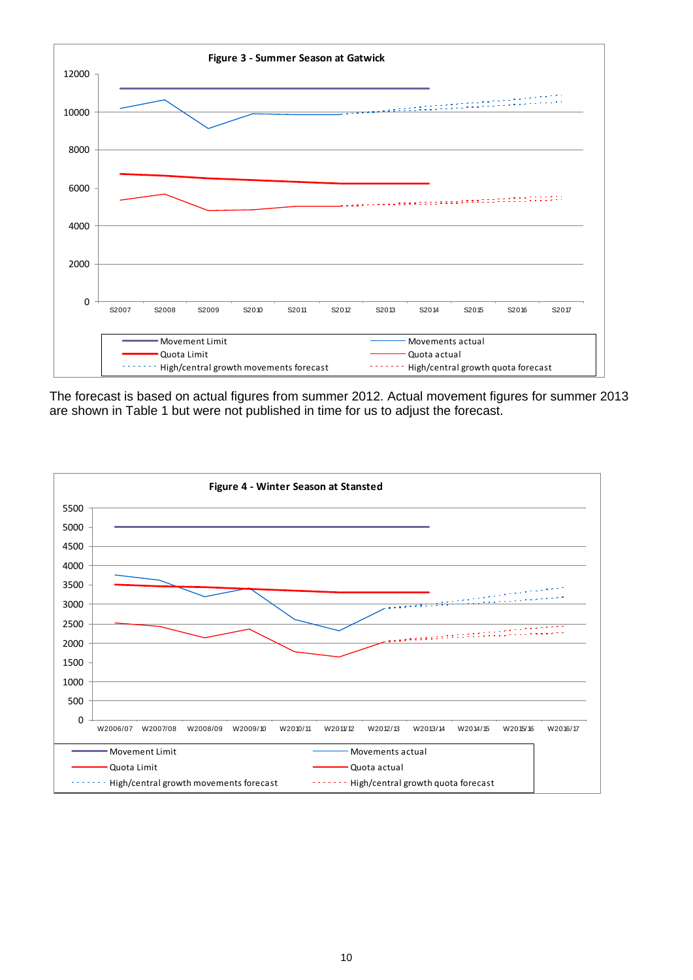![](_page_9_Figure_0.jpeg)

![](_page_9_Figure_2.jpeg)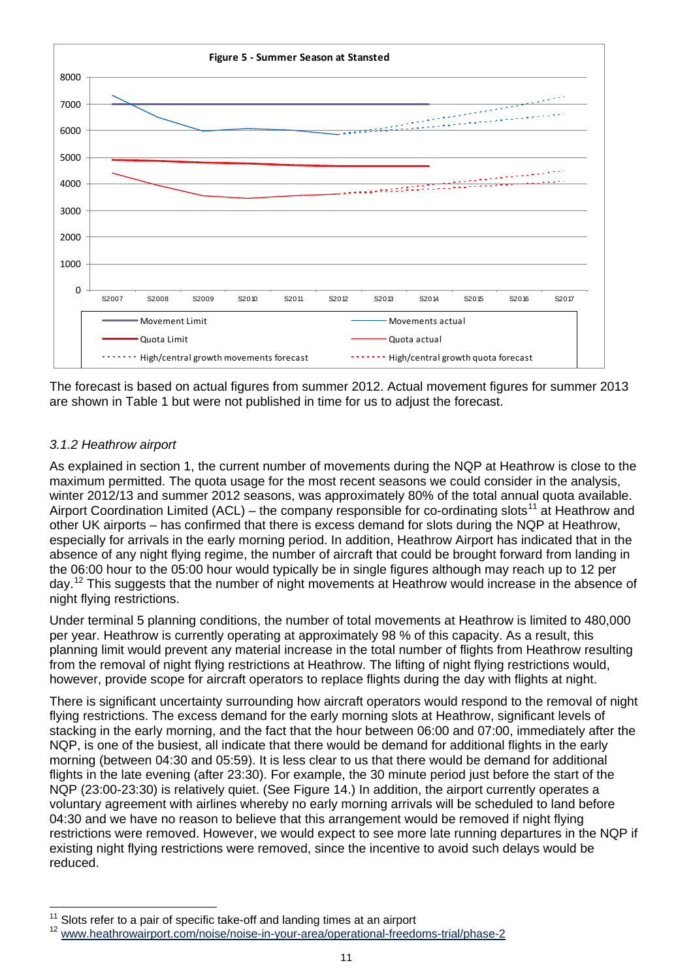![](_page_10_Figure_0.jpeg)

## *3.1.2 Heathrow airport*

As explained in section 1, the current number of movements during the NQP at Heathrow is close to the maximum permitted. The quota usage for the most recent seasons we could consider in the analysis, winter 2012/13 and summer 2012 seasons, was approximately 80% of the total annual quota available. Airport Coordination Limited (ACL) – the company responsible for co-ordinating slots<sup>11</sup> at Heathrow and other UK airports – has confirmed that there is excess demand for slots during the NQP at Heathrow, especially for arrivals in the early morning period. In addition, Heathrow Airport has indicated that in the absence of any night flying regime, the number of aircraft that could be brought forward from landing in the 06:00 hour to the 05:00 hour would typically be in single figures although may reach up to 12 per day.<sup>12</sup> This suggests that the number of night movements at Heathrow would increase in the absence of night flying restrictions.

Under terminal 5 planning conditions, the number of total movements at Heathrow is limited to 480,000 per year. Heathrow is currently operating at approximately 98 % of this capacity. As a result, this planning limit would prevent any material increase in the total number of flights from Heathrow resulting from the removal of night flying restrictions at Heathrow. The lifting of night flying restrictions would, however, provide scope for aircraft operators to replace flights during the day with flights at night.

There is significant uncertainty surrounding how aircraft operators would respond to the removal of night flying restrictions. The excess demand for the early morning slots at Heathrow, significant levels of stacking in the early morning, and the fact that the hour between 06:00 and 07:00, immediately after the NQP, is one of the busiest, all indicate that there would be demand for additional flights in the early morning (between 04:30 and 05:59). It is less clear to us that there would be demand for additional flights in the late evening (after 23:30). For example, the 30 minute period just before the start of the NQP (23:00-23:30) is relatively quiet. (See Figure 14.) In addition, the airport currently operates a voluntary agreement with airlines whereby no early morning arrivals will be scheduled to land before 04:30 and we have no reason to believe that this arrangement would be removed if night flying restrictions were removed. However, we would expect to see more late running departures in the NQP if existing night flying restrictions were removed, since the incentive to avoid such delays would be reduced.

l

<span id="page-10-1"></span><span id="page-10-0"></span><sup>&</sup>lt;sup>11</sup> Slots refer to a pair of specific take-off and landing times at an airport<br><sup>12</sup> www.heathrowairport.com/noise/noise-in-your-area/operational-freedoms-trial/phase-2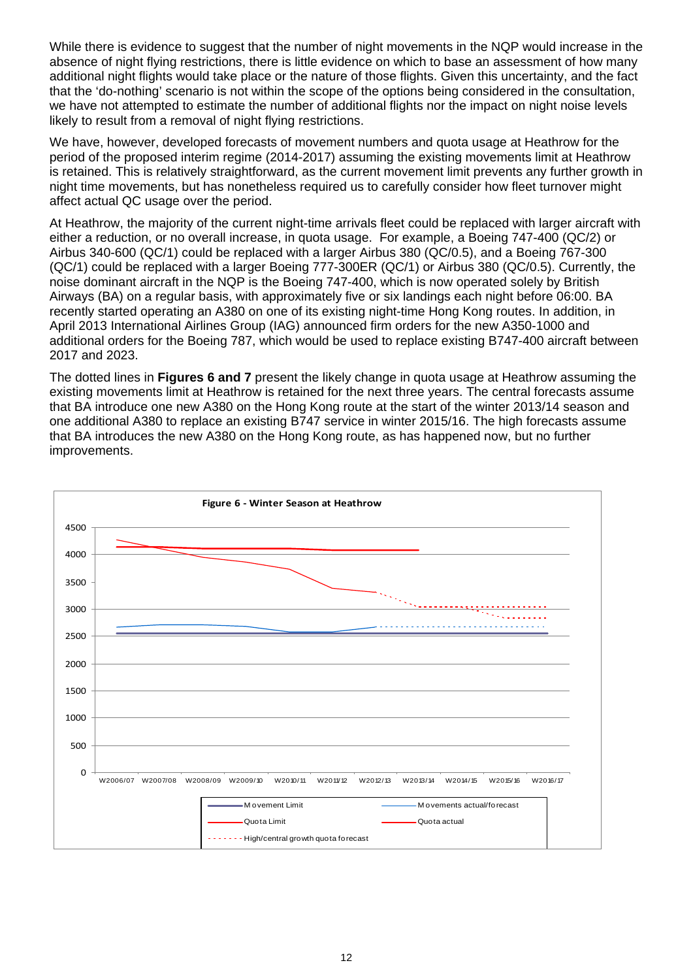While there is evidence to suggest that the number of night movements in the NQP would increase in the absence of night flying restrictions, there is little evidence on which to base an assessment of how many additional night flights would take place or the nature of those flights. Given this uncertainty, and the fact that the 'do-nothing' scenario is not within the scope of the options being considered in the consultation, we have not attempted to estimate the number of additional flights nor the impact on night noise levels likely to result from a removal of night flying restrictions.

We have, however, developed forecasts of movement numbers and quota usage at Heathrow for the period of the proposed interim regime (2014-2017) assuming the existing movements limit at Heathrow is retained. This is relatively straightforward, as the current movement limit prevents any further growth in night time movements, but has nonetheless required us to carefully consider how fleet turnover might affect actual QC usage over the period.

At Heathrow, the majority of the current night-time arrivals fleet could be replaced with larger aircraft with either a reduction, or no overall increase, in quota usage. For example, a Boeing 747-400 (QC/2) or Airbus 340-600 (QC/1) could be replaced with a larger Airbus 380 (QC/0.5), and a Boeing 767-300 (QC/1) could be replaced with a larger Boeing 777-300ER (QC/1) or Airbus 380 (QC/0.5). Currently, the noise dominant aircraft in the NQP is the Boeing 747-400, which is now operated solely by British Airways (BA) on a regular basis, with approximately five or six landings each night before 06:00. BA recently started operating an A380 on one of its existing night-time Hong Kong routes. In addition, in April 2013 International Airlines Group (IAG) announced firm orders for the new A350-1000 and additional orders for the Boeing 787, which would be used to replace existing B747-400 aircraft between 2017 and 2023.

The dotted lines in **Figures 6 and 7** present the likely change in quota usage at Heathrow assuming the existing movements limit at Heathrow is retained for the next three years. The central forecasts assume that BA introduce one new A380 on the Hong Kong route at the start of the winter 2013/14 season and one additional A380 to replace an existing B747 service in winter 2015/16. The high forecasts assume that BA introduces the new A380 on the Hong Kong route, as has happened now, but no further improvements.

![](_page_11_Figure_4.jpeg)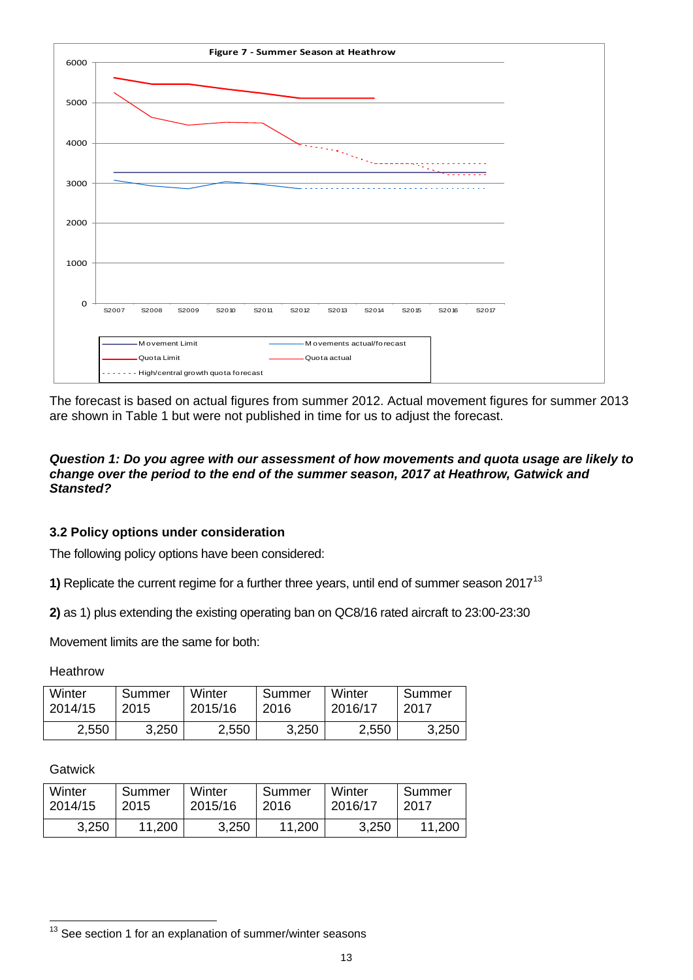![](_page_12_Figure_0.jpeg)

## *Question 1: Do you agree with our assessment of how movements and quota usage are likely to change over the period to the end of the summer season, 2017 at Heathrow, Gatwick and Stansted?*

## **3.2 Policy options under consideration**

The following policy options have been considered:

**1)** Replicate the current regime for a further three years, until end of summer season 2017<sup>[13](#page-12-0)</sup>

**2)** as 1) plus extending the existing operating ban on QC8/16 rated aircraft to 23:00-23:30

Movement limits are the same for both:

**Heathrow** 

| Winter  | Summer | Winter  | Summer | Winter  | Summer |
|---------|--------|---------|--------|---------|--------|
| 2014/15 | 2015   | 2015/16 | 2016   | 2016/17 | 2017   |
| 2,550   | 3,250  | 2,550   | 3,250  | 2,550   | 3,250  |

Gatwick

l

| Winter  | Summer | Winter  | Summer | Winter  | Summer |
|---------|--------|---------|--------|---------|--------|
| 2014/15 | 2015   | 2015/16 | 2016   | 2016/17 | 2017   |
| 3,250   | 11,200 | 3,250   | 11,200 | 3,250   | 11,200 |

<span id="page-12-0"></span> $13$  See section 1 for an explanation of summer/winter seasons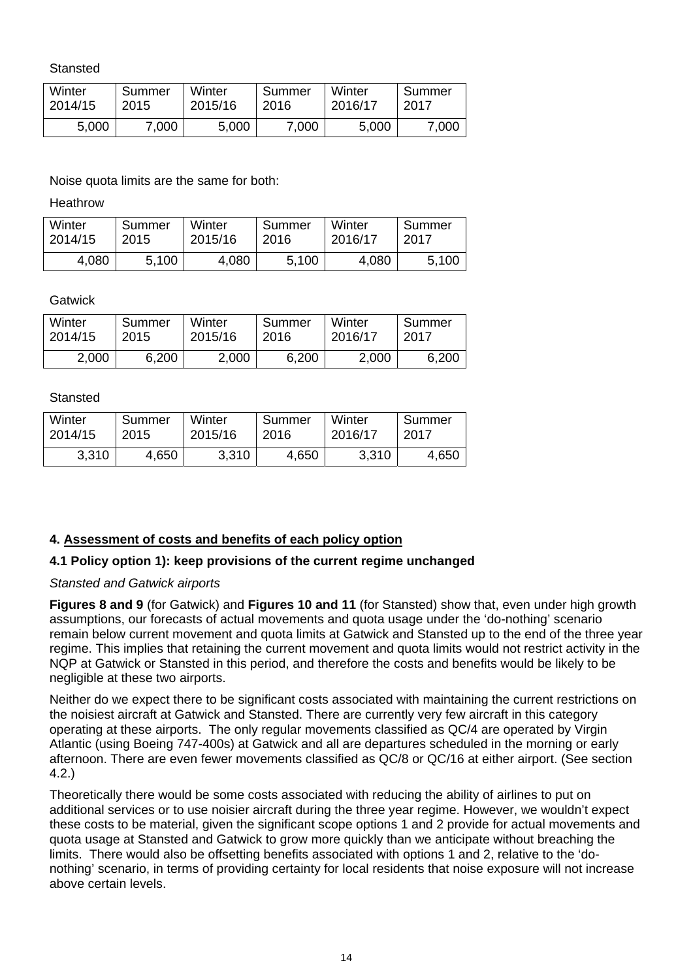**Stansted** 

| Winter  | Summer | Winter  | Summer | Winter  | Summer |
|---------|--------|---------|--------|---------|--------|
| 2014/15 | 2015   | 2015/16 | 2016   | 2016/17 | 2017   |
| 5,000   | 7.000  | 5,000   | 7,000  | 5,000   | 7.000  |

Noise quota limits are the same for both:

Heathrow

| Winter  | Summer | Winter  | Summer | Winter  | Summer |
|---------|--------|---------|--------|---------|--------|
| 2014/15 | 2015   | 2015/16 | 2016   | 2016/17 | 2017   |
| 4,080   | 5,100  | 4,080   | 5,100  | 4,080   | 5,100  |

**Gatwick** 

| Winter  | Summer | Winter  | Summer | Winter  | Summer |
|---------|--------|---------|--------|---------|--------|
| 2014/15 | 2015   | 2015/16 | 2016   | 2016/17 | 2017   |
| 2,000   | 6,200  | 2,000   | 6,200  | 2,000   | 6,200  |

## **Stansted**

| Winter  | Summer | Winter  | Summer | Winter  | Summer |
|---------|--------|---------|--------|---------|--------|
| 2014/15 | 2015   | 2015/16 | 2016   | 2016/17 | 2017   |
| 3,310   | 4,650  | 3,310   | 4,650  | 3,310   | 4,650  |

## **4. Assessment of costs and benefits of each policy option**

## **4.1 Policy option 1): keep provisions of the current regime unchanged**

## *Stansted and Gatwick airports*

**Figures 8 and 9** (for Gatwick) and **Figures 10 and 11** (for Stansted) show that, even under high growth assumptions, our forecasts of actual movements and quota usage under the 'do-nothing' scenario remain below current movement and quota limits at Gatwick and Stansted up to the end of the three year regime. This implies that retaining the current movement and quota limits would not restrict activity in the NQP at Gatwick or Stansted in this period, and therefore the costs and benefits would be likely to be negligible at these two airports.

Neither do we expect there to be significant costs associated with maintaining the current restrictions on the noisiest aircraft at Gatwick and Stansted. There are currently very few aircraft in this category operating at these airports. The only regular movements classified as QC/4 are operated by Virgin Atlantic (using Boeing 747-400s) at Gatwick and all are departures scheduled in the morning or early afternoon. There are even fewer movements classified as QC/8 or QC/16 at either airport. (See section 4.2.)

Theoretically there would be some costs associated with reducing the ability of airlines to put on additional services or to use noisier aircraft during the three year regime. However, we wouldn't expect these costs to be material, given the significant scope options 1 and 2 provide for actual movements and quota usage at Stansted and Gatwick to grow more quickly than we anticipate without breaching the limits. There would also be offsetting benefits associated with options 1 and 2, relative to the 'donothing' scenario, in terms of providing certainty for local residents that noise exposure will not increase above certain levels.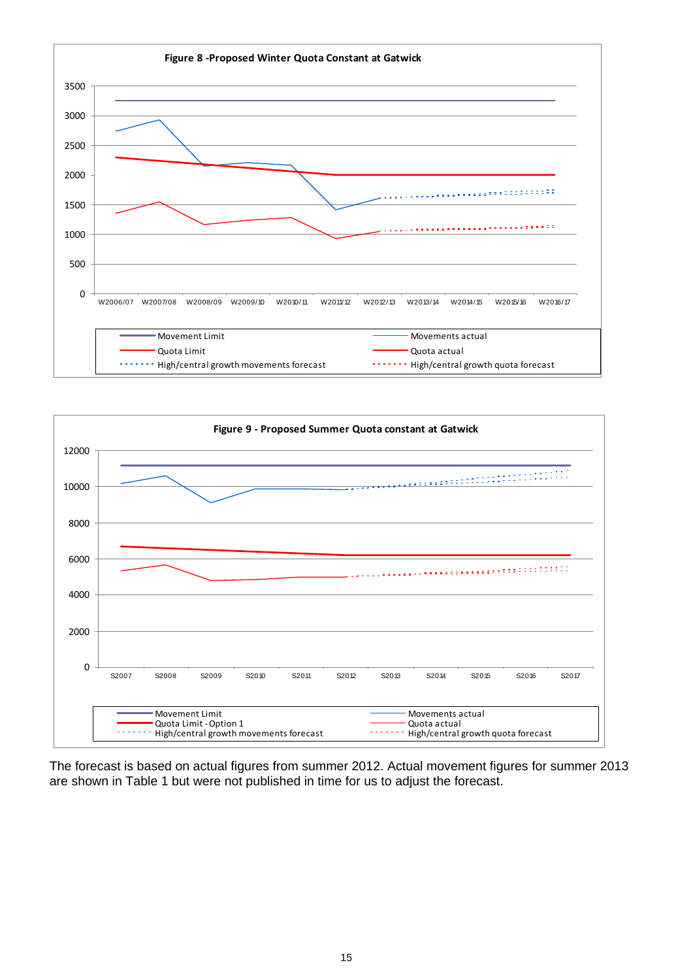![](_page_14_Figure_0.jpeg)

![](_page_14_Figure_1.jpeg)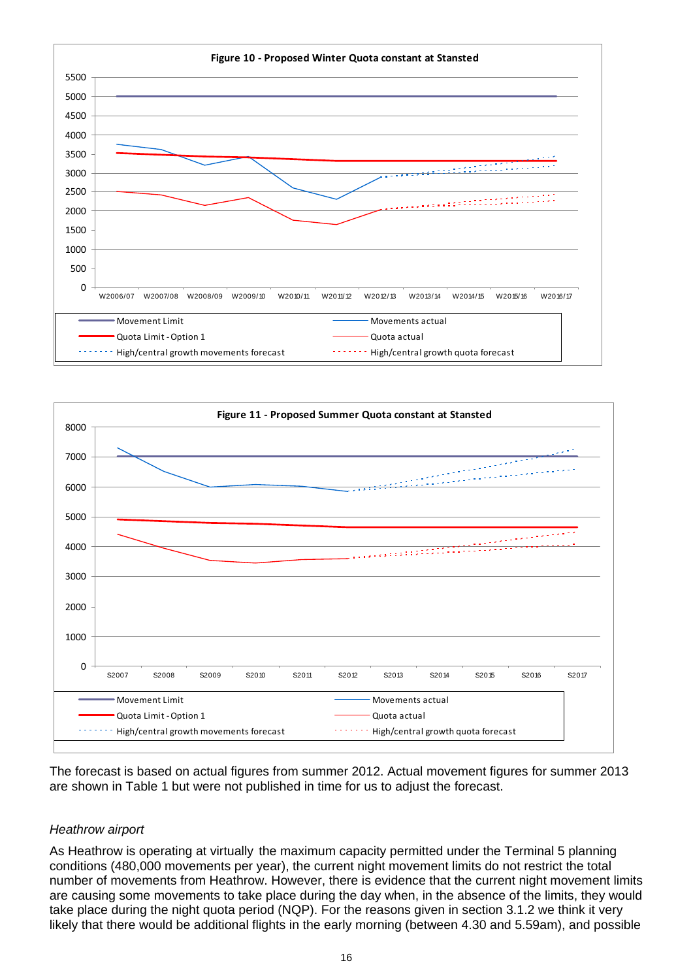![](_page_15_Figure_0.jpeg)

![](_page_15_Figure_1.jpeg)

## *Heathrow airport*

As Heathrow is operating at virtually the maximum capacity permitted under the Terminal 5 planning conditions (480,000 movements per year), the current night movement limits do not restrict the total number of movements from Heathrow. However, there is evidence that the current night movement limits are causing some movements to take place during the day when, in the absence of the limits, they would take place during the night quota period (NQP). For the reasons given in section 3.1.2 we think it very likely that there would be additional flights in the early morning (between 4.30 and 5.59am), and possible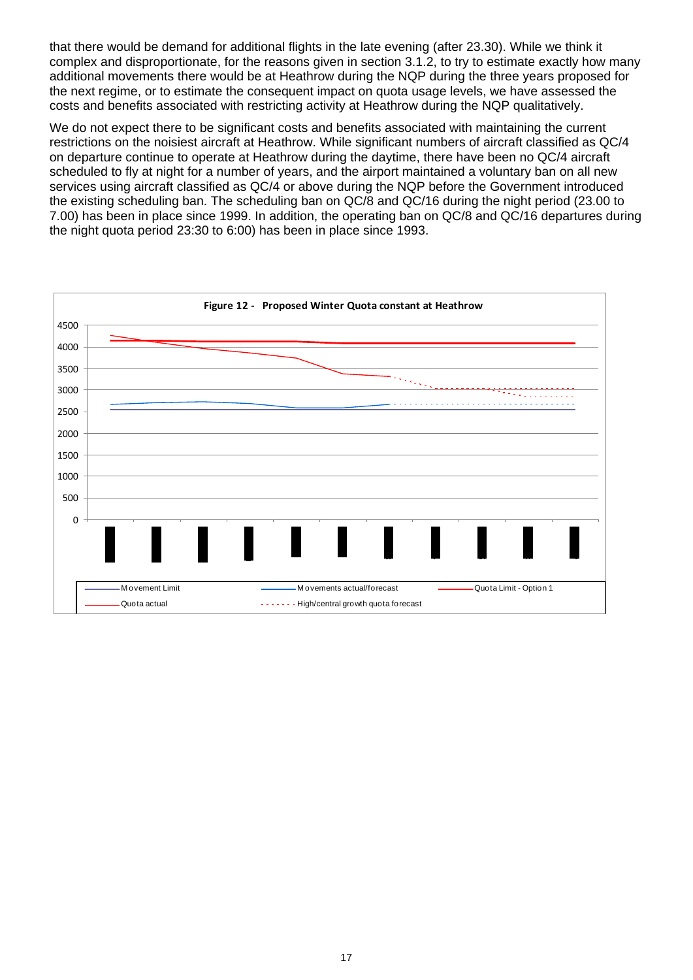that there would be demand for additional flights in the late evening (after 23.30). While we think it complex and disproportionate, for the reasons given in section 3.1.2, to try to estimate exactly how many additional movements there would be at Heathrow during the NQP during the three years proposed for the next regime, or to estimate the consequent impact on quota usage levels, we have assessed the costs and benefits associated with restricting activity at Heathrow during the NQP qualitatively.

We do not expect there to be significant costs and benefits associated with maintaining the current restrictions on the noisiest aircraft at Heathrow. While significant numbers of aircraft classified as QC/4 on departure continue to operate at Heathrow during the daytime, there have been no QC/4 aircraft scheduled to fly at night for a number of years, and the airport maintained a voluntary ban on all new services using aircraft classified as QC/4 or above during the NQP before the Government introduced the existing scheduling ban. The scheduling ban on QC/8 and QC/16 during the night period (23.00 to 7.00) has been in place since 1999. In addition, the operating ban on QC/8 and QC/16 departures during the night quota period 23:30 to 6:00) has been in place since 1993.

![](_page_16_Figure_2.jpeg)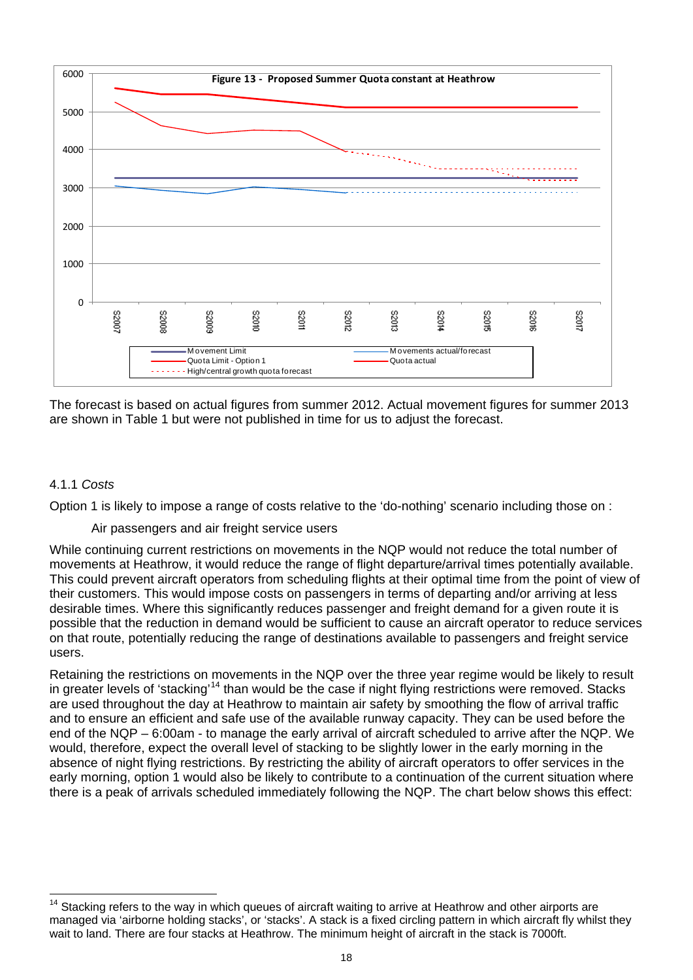![](_page_17_Figure_0.jpeg)

## 4.1.1 *Costs*

Option 1 is likely to impose a range of costs relative to the 'do-nothing' scenario including those on :

## Air passengers and air freight service users

While continuing current restrictions on movements in the NQP would not reduce the total number of movements at Heathrow, it would reduce the range of flight departure/arrival times potentially available. This could prevent aircraft operators from scheduling flights at their optimal time from the point of view of their customers. This would impose costs on passengers in terms of departing and/or arriving at less desirable times. Where this significantly reduces passenger and freight demand for a given route it is possible that the reduction in demand would be sufficient to cause an aircraft operator to reduce services on that route, potentially reducing the range of destinations available to passengers and freight service users.

Retaining the restrictions on movements in the NQP over the three year regime would be likely to result in greater levels of 'stacking'[14](#page-17-0) than would be the case if night flying restrictions were removed. Stacks are used throughout the day at Heathrow to maintain air safety by smoothing the flow of arrival traffic and to ensure an efficient and safe use of the available runway capacity. They can be used before the end of the NQP – 6:00am - to manage the early arrival of aircraft scheduled to arrive after the NQP. We would, therefore, expect the overall level of stacking to be slightly lower in the early morning in the absence of night flying restrictions. By restricting the ability of aircraft operators to offer services in the early morning, option 1 would also be likely to contribute to a continuation of the current situation where there is a peak of arrivals scheduled immediately following the NQP. The chart below shows this effect:

<span id="page-17-0"></span> $14$ Stacking refers to the way in which queues of aircraft waiting to arrive at Heathrow and other airports are managed via 'airborne holding stacks', or 'stacks'. A stack is a fixed circling pattern in which aircraft fly whilst they wait to land. There are four stacks at Heathrow. The minimum height of aircraft in the stack is 7000ft.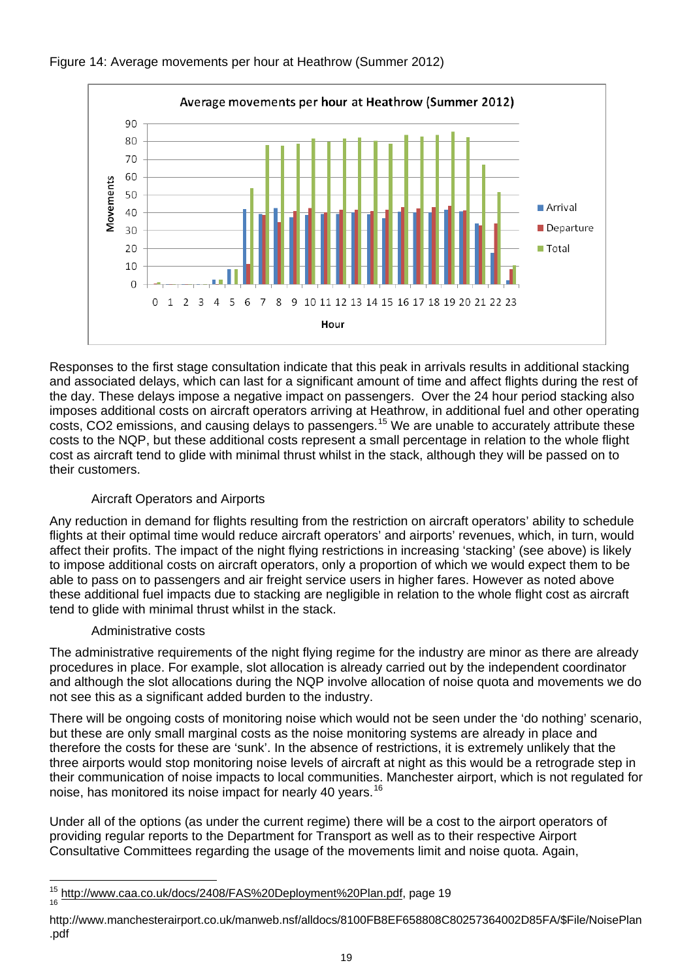![](_page_18_Figure_0.jpeg)

## Figure 14: Average movements per hour at Heathrow (Summer 2012)

Responses to the first stage consultation indicate that this peak in arrivals results in additional stacking and associated delays, which can last for a significant amount of time and affect flights during the rest of the day. These delays impose a negative impact on passengers. Over the 24 hour period stacking also imposes additional costs on aircraft operators arriving at Heathrow, in additional fuel and other operating costs, CO2 emissions, and causing delays to passengers.<sup>15</sup> We are unable to accurately attribute these costs to the NQP, but these additional costs represent a small percentage in relation to the whole flight cost as aircraft tend to glide with minimal thrust whilst in the stack, although they will be passed on to their customers.

## Aircraft Operators and Airports

Any reduction in demand for flights resulting from the restriction on aircraft operators' ability to schedule flights at their optimal time would reduce aircraft operators' and airports' revenues, which, in turn, would affect their profits. The impact of the night flying restrictions in increasing 'stacking' (see above) is likely to impose additional costs on aircraft operators, only a proportion of which we would expect them to be able to pass on to passengers and air freight service users in higher fares. However as noted above these additional fuel impacts due to stacking are negligible in relation to the whole flight cost as aircraft tend to glide with minimal thrust whilst in the stack.

## Administrative costs

The administrative requirements of the night flying regime for the industry are minor as there are already procedures in place. For example, slot allocation is already carried out by the independent coordinator and although the slot allocations during the NQP involve allocation of noise quota and movements we do not see this as a significant added burden to the industry.

There will be ongoing costs of monitoring noise which would not be seen under the 'do nothing' scenario, but these are only small marginal costs as the noise monitoring systems are already in place and therefore the costs for these are 'sunk'. In the absence of restrictions, it is extremely unlikely that the three airports would stop monitoring noise levels of aircraft at night as this would be a retrograde step in their communication of noise impacts to local communities. Manchester airport, which is not regulated for noise, has monitored its noise impact for nearly 40 years.<sup>[16](#page-18-1)</sup>

Under all of the options (as under the current regime) there will be a cost to the airport operators of providing regular reports to the Department for Transport as well as to their respective Airport Consultative Committees regarding the usage of the movements limit and noise quota. Again,

<span id="page-18-0"></span><sup>15</sup> http://www.caa.co.uk/docs/2408/FAS%20Deployment%20Plan.pdf, page 19

<span id="page-18-1"></span>http://www.manchesterairport.co.uk/manweb.nsf/alldocs/8100FB8EF658808C80257364002D85FA/\$File/NoisePlan .pdf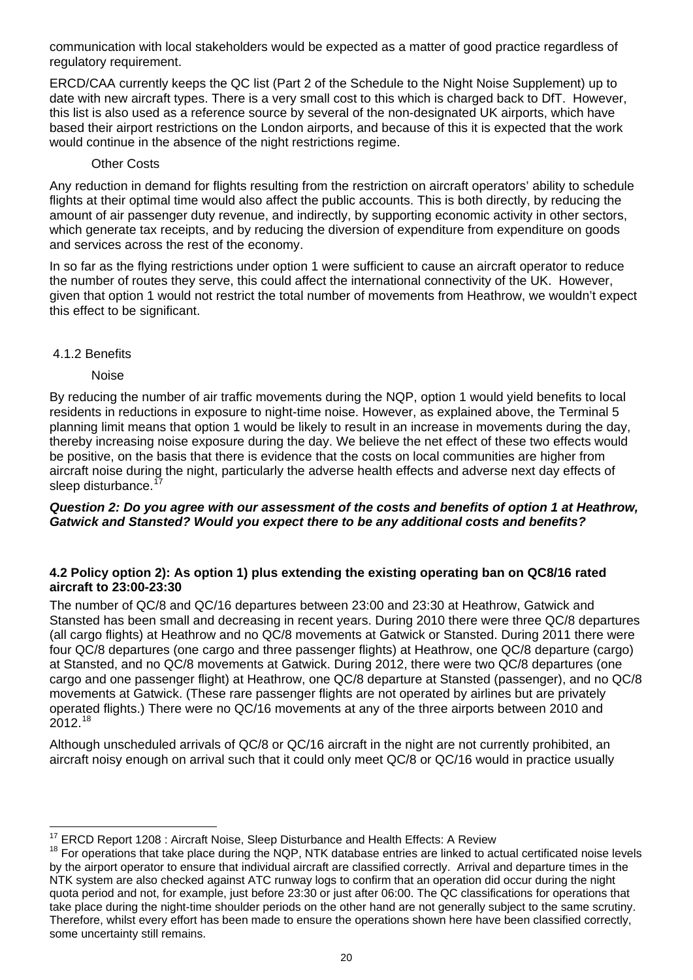communication with local stakeholders would be expected as a matter of good practice regardless of regulatory requirement.

ERCD/CAA currently keeps the QC list (Part 2 of the Schedule to the Night Noise Supplement) up to date with new aircraft types. There is a very small cost to this which is charged back to DfT. However, this list is also used as a reference source by several of the non-designated UK airports, which have based their airport restrictions on the London airports, and because of this it is expected that the work would continue in the absence of the night restrictions regime.

## Other Costs

Any reduction in demand for flights resulting from the restriction on aircraft operators' ability to schedule flights at their optimal time would also affect the public accounts. This is both directly, by reducing the amount of air passenger duty revenue, and indirectly, by supporting economic activity in other sectors, which generate tax receipts, and by reducing the diversion of expenditure from expenditure on goods and services across the rest of the economy.

In so far as the flying restrictions under option 1 were sufficient to cause an aircraft operator to reduce the number of routes they serve, this could affect the international connectivity of the UK. However, given that option 1 would not restrict the total number of movements from Heathrow, we wouldn't expect this effect to be significant.

## 4.1.2 Benefits

Noise

By reducing the number of air traffic movements during the NQP, option 1 would yield benefits to local residents in reductions in exposure to night-time noise. However, as explained above, the Terminal 5 planning limit means that option 1 would be likely to result in an increase in movements during the day, thereby increasing noise exposure during the day. We believe the net effect of these two effects would be positive, on the basis that there is evidence that the costs on local communities are higher from aircraft noise during the night, particularly the adverse health effects and adverse next day effects of sleep disturbance.

#### *Question 2: Do you agree with our assessment of the costs and benefits of option 1 at Heathrow, Gatwick and Stansted? Would you expect there to be any additional costs and benefits?*

## **4.2 Policy option 2): As option 1) plus extending the existing operating ban on QC8/16 rated aircraft to 23:00-23:30**

The number of QC/8 and QC/16 departures between 23:00 and 23:30 at Heathrow, Gatwick and Stansted has been small and decreasing in recent years. During 2010 there were three QC/8 departures (all cargo flights) at Heathrow and no QC/8 movements at Gatwick or Stansted. During 2011 there were four QC/8 departures (one cargo and three passenger flights) at Heathrow, one QC/8 departure (cargo) at Stansted, and no QC/8 movements at Gatwick. During 2012, there were two QC/8 departures (one cargo and one passenger flight) at Heathrow, one QC/8 departure at Stansted (passenger), and no QC/8 movements at Gatwick. (These rare passenger flights are not operated by airlines but are privately operated flights.) There were no QC/16 movements at any of the three airports between 2010 and 2012.[18](#page-19-1)

Although unscheduled arrivals of QC/8 or QC/16 aircraft in the night are not currently prohibited, an aircraft noisy enough on arrival such that it could only meet QC/8 or QC/16 would in practice usually

l

<span id="page-19-1"></span><span id="page-19-0"></span><sup>&</sup>lt;sup>17</sup> ERCD Report 1208 : Aircraft Noise, Sleep Disturbance and Health Effects: A Review<br><sup>18</sup> For operations that take place during the NQP, NTK database entries are linked to actual certificated noise levels by the airport operator to ensure that individual aircraft are classified correctly. Arrival and departure times in the NTK system are also checked against ATC runway logs to confirm that an operation did occur during the night quota period and not, for example, just before 23:30 or just after 06:00. The QC classifications for operations that take place during the night-time shoulder periods on the other hand are not generally subject to the same scrutiny. Therefore, whilst every effort has been made to ensure the operations shown here have been classified correctly, some uncertainty still remains.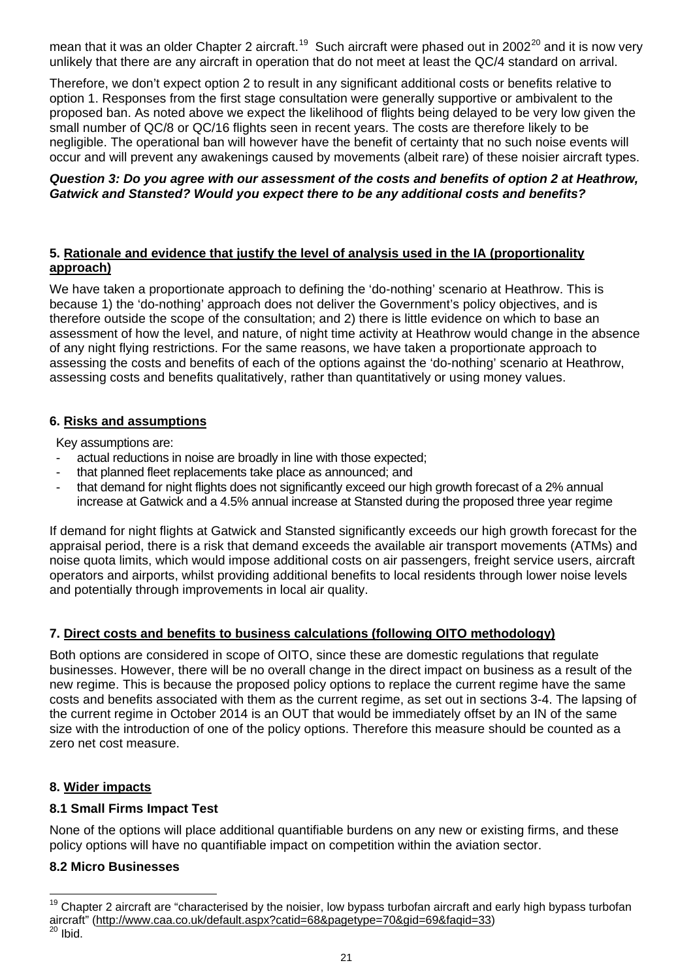mean that it was an older Chapter 2 aircraft.<sup>19</sup> Such aircraft were phased out in 2002<sup>20</sup> and it is now very unlikely that there are any aircraft in operation that do not meet at least the QC/4 standard on arrival.

Therefore, we don't expect option 2 to result in any significant additional costs or benefits relative to option 1. Responses from the first stage consultation were generally supportive or ambivalent to the proposed ban. As noted above we expect the likelihood of flights being delayed to be very low given the small number of QC/8 or QC/16 flights seen in recent years. The costs are therefore likely to be negligible. The operational ban will however have the benefit of certainty that no such noise events will occur and will prevent any awakenings caused by movements (albeit rare) of these noisier aircraft types.

## *Question 3: Do you agree with our assessment of the costs and benefits of option 2 at Heathrow, Gatwick and Stansted? Would you expect there to be any additional costs and benefits?*

## **5. Rationale and evidence that justify the level of analysis used in the IA (proportionality approach)**

We have taken a proportionate approach to defining the 'do-nothing' scenario at Heathrow. This is because 1) the 'do-nothing' approach does not deliver the Government's policy objectives, and is therefore outside the scope of the consultation; and 2) there is little evidence on which to base an assessment of how the level, and nature, of night time activity at Heathrow would change in the absence of any night flying restrictions. For the same reasons, we have taken a proportionate approach to assessing the costs and benefits of each of the options against the 'do-nothing' scenario at Heathrow, assessing costs and benefits qualitatively, rather than quantitatively or using money values.

## **6. Risks and assumptions**

Key assumptions are:

- actual reductions in noise are broadly in line with those expected;
- that planned fleet replacements take place as announced; and
- that demand for night flights does not significantly exceed our high growth forecast of a 2% annual increase at Gatwick and a 4.5% annual increase at Stansted during the proposed three year regime

If demand for night flights at Gatwick and Stansted significantly exceeds our high growth forecast for the appraisal period, there is a risk that demand exceeds the available air transport movements (ATMs) and noise quota limits, which would impose additional costs on air passengers, freight service users, aircraft operators and airports, whilst providing additional benefits to local residents through lower noise levels and potentially through improvements in local air quality.

## **7. Direct costs and benefits to business calculations (following OITO methodology)**

Both options are considered in scope of OITO, since these are domestic regulations that regulate businesses. However, there will be no overall change in the direct impact on business as a result of the new regime. This is because the proposed policy options to replace the current regime have the same costs and benefits associated with them as the current regime, as set out in sections 3-4. The lapsing of the current regime in October 2014 is an OUT that would be immediately offset by an IN of the same size with the introduction of one of the policy options. Therefore this measure should be counted as a zero net cost measure.

## **8. Wider impacts**

## **8.1 Small Firms Impact Test**

None of the options will place additional quantifiable burdens on any new or existing firms, and these policy options will have no quantifiable impact on competition within the aviation sector.

## **8.2 Micro Businesses**

l

<span id="page-20-1"></span><span id="page-20-0"></span> $19$  Chapter 2 aircraft are "characterised by the noisier, low bypass turbofan aircraft and early high bypass turbofan aircraft" (http://www.caa.co.uk/default.aspx?catid=68&pagetype=70&gid=69&faqid=33)<br><sup>20</sup> Ibid.